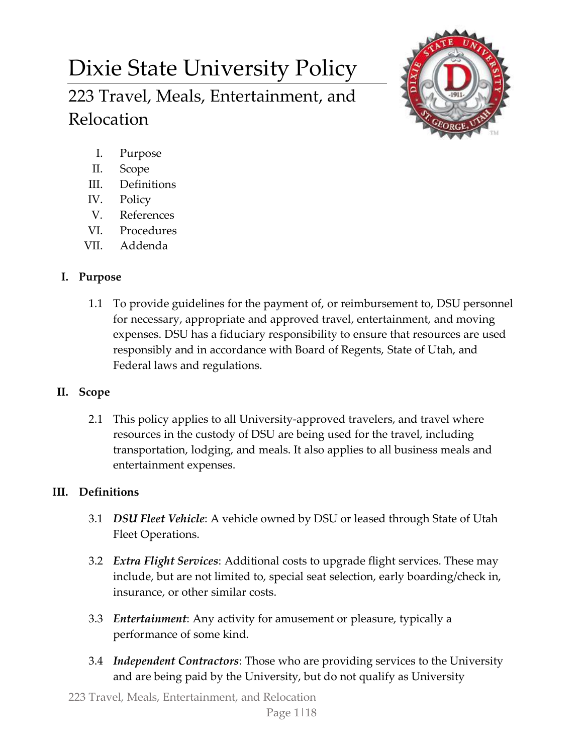# Dixie State University Policy 223 Travel, Meals, Entertainment, and Relocation



- I. Purpose
- II. Scope
- III. Definitions
- IV. Policy
- V. References
- VI. Procedures
- VII. Addenda

# **I. Purpose**

1.1 To provide guidelines for the payment of, or reimbursement to, DSU personnel for necessary, appropriate and approved travel, entertainment, and moving expenses. DSU has a fiduciary responsibility to ensure that resources are used responsibly and in accordance with Board of Regents, State of Utah, and Federal laws and regulations.

# **II. Scope**

2.1 This policy applies to all University-approved travelers, and travel where resources in the custody of DSU are being used for the travel, including transportation, lodging, and meals. It also applies to all business meals and entertainment expenses.

# **III. Definitions**

- 3.1 *DSU Fleet Vehicle*: A vehicle owned by DSU or leased through State of Utah Fleet Operations.
- 3.2 *Extra Flight Services*: Additional costs to upgrade flight services. These may include, but are not limited to, special seat selection, early boarding/check in, insurance, or other similar costs.
- 3.3 *Entertainment*: Any activity for amusement or pleasure, typically a performance of some kind.
- 3.4 *Independent Contractors*: Those who are providing services to the University and are being paid by the University, but do not qualify as University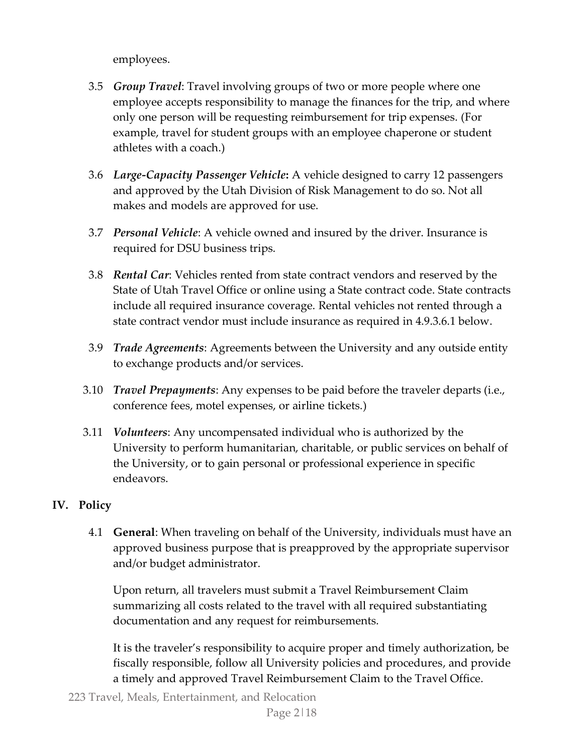employees.

- 3.5 *Group Travel*: Travel involving groups of two or more people where one employee accepts responsibility to manage the finances for the trip, and where only one person will be requesting reimbursement for trip expenses. (For example, travel for student groups with an employee chaperone or student athletes with a coach.)
- 3.6 *Large-Capacity Passenger Vehicle***:** A vehicle designed to carry 12 passengers and approved by the Utah Division of Risk Management to do so. Not all makes and models are approved for use.
- 3.7 *Personal Vehicle*: A vehicle owned and insured by the driver. Insurance is required for DSU business trips.
- 3.8 *Rental Car*: Vehicles rented from state contract vendors and reserved by the State of Utah Travel Office or online using a State contract code. State contracts include all required insurance coverage. Rental vehicles not rented through a state contract vendor must include insurance as required in 4.9.3.6.1 below.
- 3.9 *Trade Agreements*: Agreements between the University and any outside entity to exchange products and/or services.
- 3.10 *Travel Prepayments*: Any expenses to be paid before the traveler departs (i.e., conference fees, motel expenses, or airline tickets.)
- 3.11 *Volunteers*: Any uncompensated individual who is authorized by the University to perform humanitarian, charitable, or public services on behalf of the University, or to gain personal or professional experience in specific endeavors.

# **IV. Policy**

4.1 **General**: When traveling on behalf of the University, individuals must have an approved business purpose that is preapproved by the appropriate supervisor and/or budget administrator.

Upon return, all travelers must submit a Travel Reimbursement Claim summarizing all costs related to the travel with all required substantiating documentation and any request for reimbursements.

It is the traveler's responsibility to acquire proper and timely authorization, be fiscally responsible, follow all University policies and procedures, and provide a timely and approved Travel Reimbursement Claim to the Travel Office.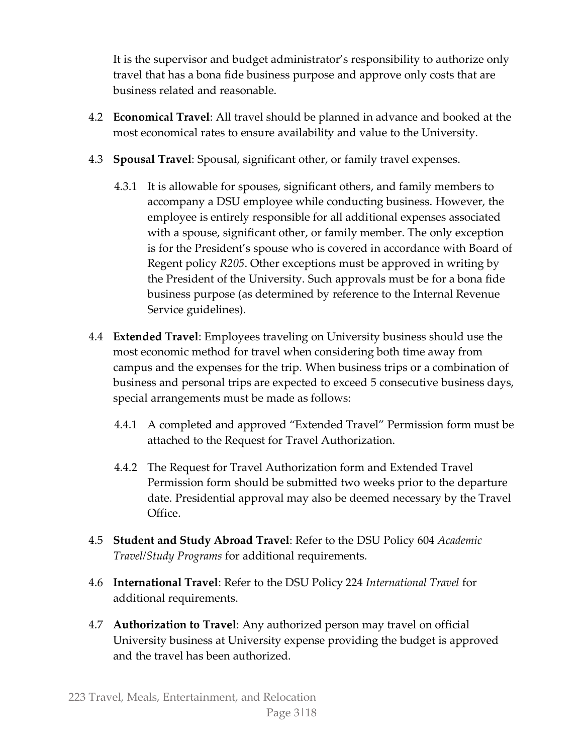It is the supervisor and budget administrator's responsibility to authorize only travel that has a bona fide business purpose and approve only costs that are business related and reasonable.

- 4.2 **Economical Travel**: All travel should be planned in advance and booked at the most economical rates to ensure availability and value to the University.
- 4.3 **Spousal Travel**: Spousal, significant other, or family travel expenses.
	- 4.3.1 It is allowable for spouses, significant others, and family members to accompany a DSU employee while conducting business. However, the employee is entirely responsible for all additional expenses associated with a spouse, significant other, or family member. The only exception is for the President's spouse who is covered in accordance with Board of Regent policy *R205*. Other exceptions must be approved in writing by the President of the University. Such approvals must be for a bona fide business purpose (as determined by reference to the Internal Revenue Service guidelines).
- 4.4 **Extended Travel**: Employees traveling on University business should use the most economic method for travel when considering both time away from campus and the expenses for the trip. When business trips or a combination of business and personal trips are expected to exceed 5 consecutive business days, special arrangements must be made as follows:
	- 4.4.1 A completed and approved "Extended Travel" Permission form must be attached to the Request for Travel Authorization.
	- 4.4.2 The Request for Travel Authorization form and Extended Travel Permission form should be submitted two weeks prior to the departure date. Presidential approval may also be deemed necessary by the Travel Office.
- 4.5 **Student and Study Abroad Travel**: Refer to the DSU Policy 604 *Academic Travel/Study Programs* for additional requirements.
- 4.6 **International Travel**: Refer to the DSU Policy 224 *International Travel* for additional requirements.
- 4.7 **Authorization to Travel**: Any authorized person may travel on official University business at University expense providing the budget is approved and the travel has been authorized.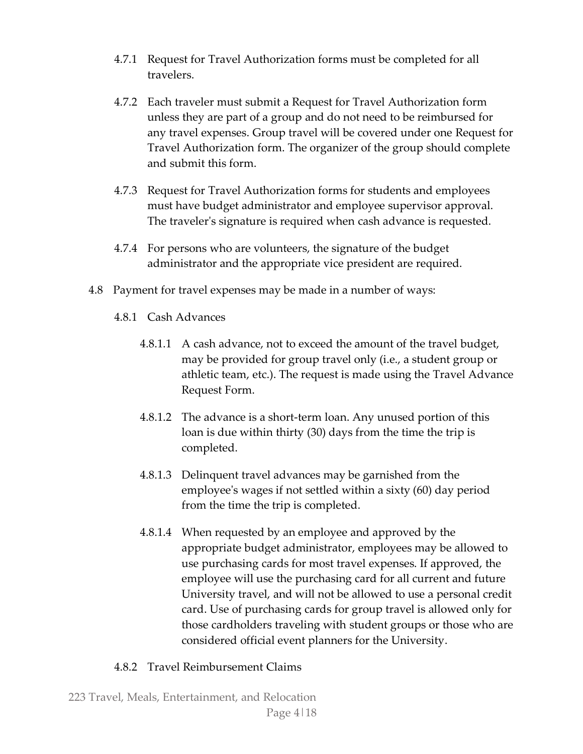- 4.7.1 Request for Travel Authorization forms must be completed for all travelers.
- 4.7.2 Each traveler must submit a Request for Travel Authorization form unless they are part of a group and do not need to be reimbursed for any travel expenses. Group travel will be covered under one Request for Travel Authorization form. The organizer of the group should complete and submit this form.
- 4.7.3 Request for Travel Authorization forms for students and employees must have budget administrator and employee supervisor approval. The traveler's signature is required when cash advance is requested.
- 4.7.4 For persons who are volunteers, the signature of the budget administrator and the appropriate vice president are required.
- 4.8 Payment for travel expenses may be made in a number of ways:
	- 4.8.1 Cash Advances
		- 4.8.1.1 A cash advance, not to exceed the amount of the travel budget, may be provided for group travel only (i.e., a student group or athletic team, etc.). The request is made using the Travel Advance Request Form.
		- 4.8.1.2 The advance is a short-term loan. Any unused portion of this loan is due within thirty (30) days from the time the trip is completed.
		- 4.8.1.3 Delinquent travel advances may be garnished from the employee's wages if not settled within a sixty (60) day period from the time the trip is completed.
		- 4.8.1.4 When requested by an employee and approved by the appropriate budget administrator, employees may be allowed to use purchasing cards for most travel expenses. If approved, the employee will use the purchasing card for all current and future University travel, and will not be allowed to use a personal credit card. Use of purchasing cards for group travel is allowed only for those cardholders traveling with student groups or those who are considered official event planners for the University.

# 4.8.2 Travel Reimbursement Claims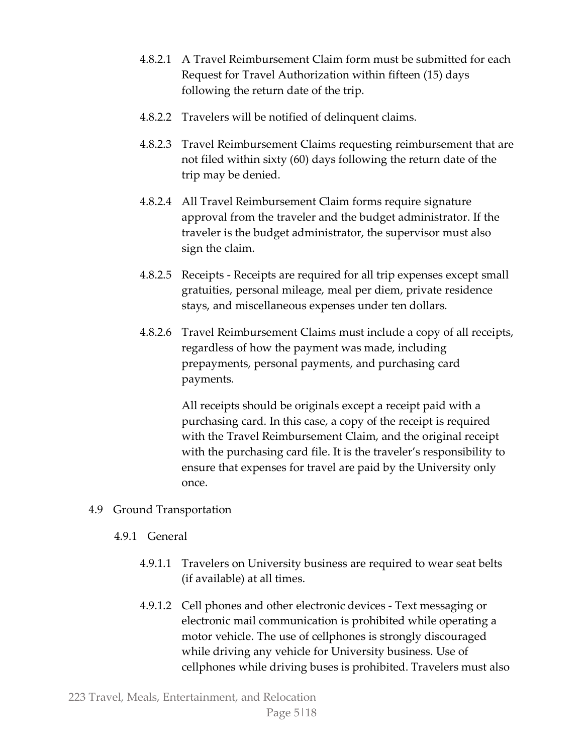- 4.8.2.1 A Travel Reimbursement Claim form must be submitted for each Request for Travel Authorization within fifteen (15) days following the return date of the trip.
- 4.8.2.2 Travelers will be notified of delinquent claims.
- 4.8.2.3 Travel Reimbursement Claims requesting reimbursement that are not filed within sixty (60) days following the return date of the trip may be denied.
- 4.8.2.4 All Travel Reimbursement Claim forms require signature approval from the traveler and the budget administrator. If the traveler is the budget administrator, the supervisor must also sign the claim.
- 4.8.2.5 Receipts Receipts are required for all trip expenses except small gratuities, personal mileage, meal per diem, private residence stays, and miscellaneous expenses under ten dollars.
- 4.8.2.6 Travel Reimbursement Claims must include a copy of all receipts, regardless of how the payment was made, including prepayments, personal payments, and purchasing card payments*.*

All receipts should be originals except a receipt paid with a purchasing card. In this case, a copy of the receipt is required with the Travel Reimbursement Claim, and the original receipt with the purchasing card file. It is the traveler's responsibility to ensure that expenses for travel are paid by the University only once.

- 4.9 Ground Transportation
	- 4.9.1 General
		- 4.9.1.1 Travelers on University business are required to wear seat belts (if available) at all times.
		- 4.9.1.2 Cell phones and other electronic devices Text messaging or electronic mail communication is prohibited while operating a motor vehicle. The use of cellphones is strongly discouraged while driving any vehicle for University business. Use of cellphones while driving buses is prohibited. Travelers must also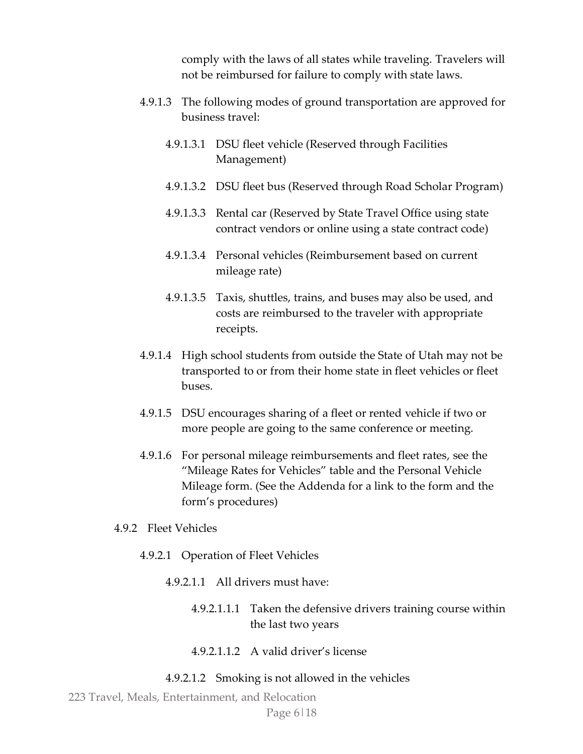comply with the laws of all states while traveling. Travelers will not be reimbursed for failure to comply with state laws.

- 4.9.1.3 The following modes of ground transportation are approved for business travel:
	- 4.9.1.3.1 DSU fleet vehicle (Reserved through Facilities Management)
	- 4.9.1.3.2 DSU fleet bus (Reserved through Road Scholar Program)
	- 4.9.1.3.3 Rental car (Reserved by State Travel Office using state contract vendors or online using a state contract code)
	- 4.9.1.3.4 Personal vehicles (Reimbursement based on current mileage rate)
	- 4.9.1.3.5 Taxis, shuttles, trains, and buses may also be used, and costs are reimbursed to the traveler with appropriate receipts.
- 4.9.1.4 High school students from outside the State of Utah may not be transported to or from their home state in fleet vehicles or fleet buses.
- 4.9.1.5 DSU encourages sharing of a fleet or rented vehicle if two or more people are going to the same conference or meeting.
- 4.9.1.6 For personal mileage reimbursements and fleet rates, see the "Mileage Rates for Vehicles" table and the Personal Vehicle Mileage form. (See the Addenda for a link to the form and the form's procedures)
- 4.9.2 Fleet Vehicles
	- 4.9.2.1 Operation of Fleet Vehicles
		- 4.9.2.1.1 All drivers must have:
			- 4.9.2.1.1.1 Taken the defensive drivers training course within the last two years
			- 4.9.2.1.1.2 A valid driver's license

#### 4.9.2.1.2 Smoking is not allowed in the vehicles

223 Travel, Meals, Entertainment, and Relocation

Page 6|18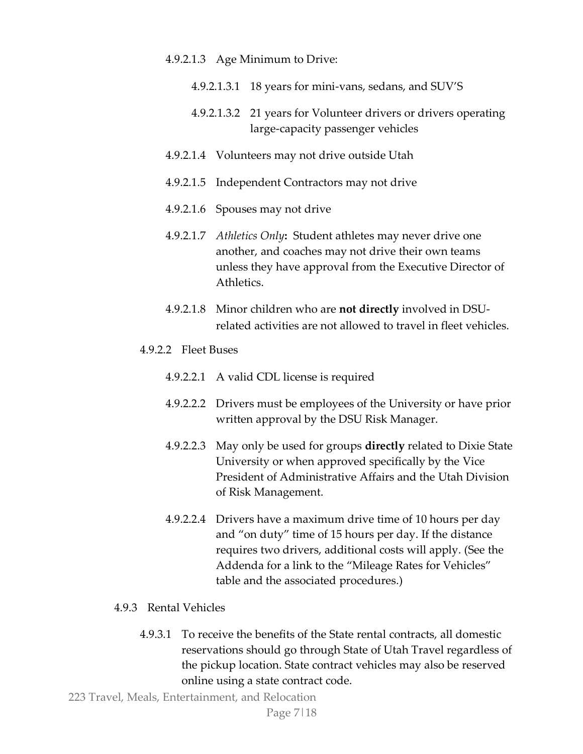#### 4.9.2.1.3 Age Minimum to Drive:

- 4.9.2.1.3.1 18 years for mini-vans, sedans, and SUV'S
- 4.9.2.1.3.2 21 years for Volunteer drivers or drivers operating large-capacity passenger vehicles
- 4.9.2.1.4 Volunteers may not drive outside Utah
- 4.9.2.1.5 Independent Contractors may not drive
- 4.9.2.1.6 Spouses may not drive
- 4.9.2.1.7 *Athletics Only***:** Student athletes may never drive one another, and coaches may not drive their own teams unless they have approval from the Executive Director of Athletics.
- 4.9.2.1.8 Minor children who are **not directly** involved in DSUrelated activities are not allowed to travel in fleet vehicles.
- 4.9.2.2 Fleet Buses
	- 4.9.2.2.1 A valid CDL license is required
	- 4.9.2.2.2 Drivers must be employees of the University or have prior written approval by the DSU Risk Manager.
	- 4.9.2.2.3 May only be used for groups **directly** related to Dixie State University or when approved specifically by the Vice President of Administrative Affairs and the Utah Division of Risk Management.
	- 4.9.2.2.4 Drivers have a maximum drive time of 10 hours per day and "on duty" time of 15 hours per day. If the distance requires two drivers, additional costs will apply. (See the Addenda for a link to the "Mileage Rates for Vehicles" table and the associated procedures.)

## 4.9.3 Rental Vehicles

4.9.3.1 To receive the benefits of the State rental contracts, all domestic reservations should go through State of Utah Travel regardless of the pickup location. State contract vehicles may also be reserved online using a state contract code.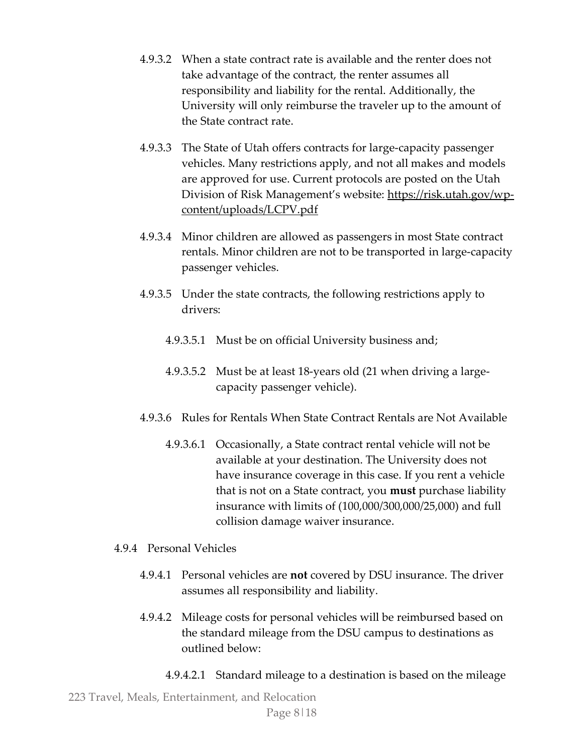- 4.9.3.2 When a state contract rate is available and the renter does not take advantage of the contract, the renter assumes all responsibility and liability for the rental. Additionally, the University will only reimburse the traveler up to the amount of the State contract rate.
- 4.9.3.3 The State of Utah offers contracts for large-capacity passenger vehicles. Many restrictions apply, and not all makes and models are approved for use. Current protocols are posted on the Utah Division of Risk Management's website: [https://risk.utah.gov/wp](https://risk.utah.gov/wp-content/uploads/LCPV.pdf)[content/uploads/LCPV.pdf](https://risk.utah.gov/wp-content/uploads/LCPV.pdf)
- 4.9.3.4 Minor children are allowed as passengers in most State contract rentals. Minor children are not to be transported in large-capacity passenger vehicles.
- 4.9.3.5 Under the state contracts, the following restrictions apply to drivers:
	- 4.9.3.5.1 Must be on official University business and;
	- 4.9.3.5.2 Must be at least 18-years old (21 when driving a largecapacity passenger vehicle).
- 4.9.3.6 Rules for Rentals When State Contract Rentals are Not Available
	- 4.9.3.6.1 Occasionally, a State contract rental vehicle will not be available at your destination. The University does not have insurance coverage in this case. If you rent a vehicle that is not on a State contract, you **must** purchase liability insurance with limits of (100,000/300,000/25,000) and full collision damage waiver insurance.

# 4.9.4 Personal Vehicles

- 4.9.4.1 Personal vehicles are **not** covered by DSU insurance. The driver assumes all responsibility and liability.
- 4.9.4.2 Mileage costs for personal vehicles will be reimbursed based on the standard mileage from the DSU campus to destinations as outlined below:
	- 4.9.4.2.1 Standard mileage to a destination is based on the mileage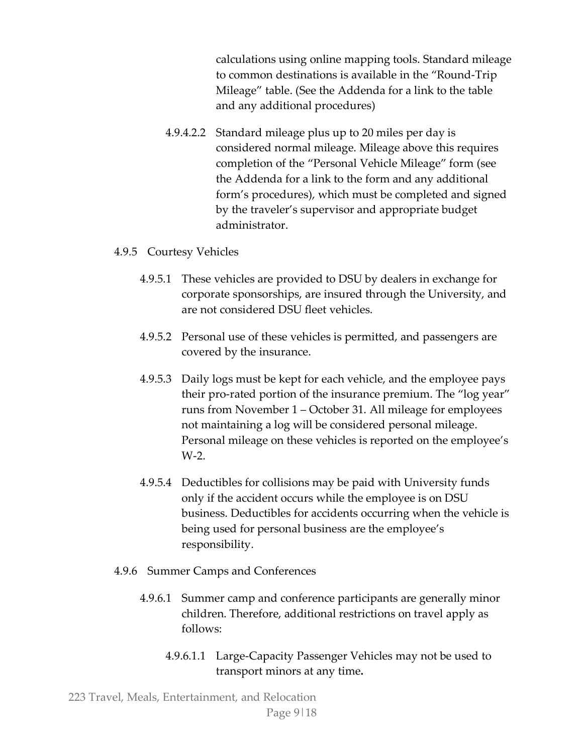calculations using online mapping tools. Standard mileage to common destinations is available in the "Round-Trip Mileage" table. (See the Addenda for a link to the table and any additional procedures)

4.9.4.2.2 Standard mileage plus up to 20 miles per day is considered normal mileage. Mileage above this requires completion of the "Personal Vehicle Mileage" form (see the Addenda for a link to the form and any additional form's procedures), which must be completed and signed by the traveler's supervisor and appropriate budget administrator.

#### 4.9.5 Courtesy Vehicles

- 4.9.5.1 These vehicles are provided to DSU by dealers in exchange for corporate sponsorships, are insured through the University, and are not considered DSU fleet vehicles.
- 4.9.5.2 Personal use of these vehicles is permitted, and passengers are covered by the insurance.
- 4.9.5.3 Daily logs must be kept for each vehicle, and the employee pays their pro-rated portion of the insurance premium. The "log year" runs from November 1 – October 31. All mileage for employees not maintaining a log will be considered personal mileage. Personal mileage on these vehicles is reported on the employee's W-2.
- 4.9.5.4 Deductibles for collisions may be paid with University funds only if the accident occurs while the employee is on DSU business. Deductibles for accidents occurring when the vehicle is being used for personal business are the employee's responsibility.
- 4.9.6 Summer Camps and Conferences
	- 4.9.6.1 Summer camp and conference participants are generally minor children. Therefore, additional restrictions on travel apply as follows:
		- 4.9.6.1.1 Large-Capacity Passenger Vehicles may not be used to transport minors at any time**.**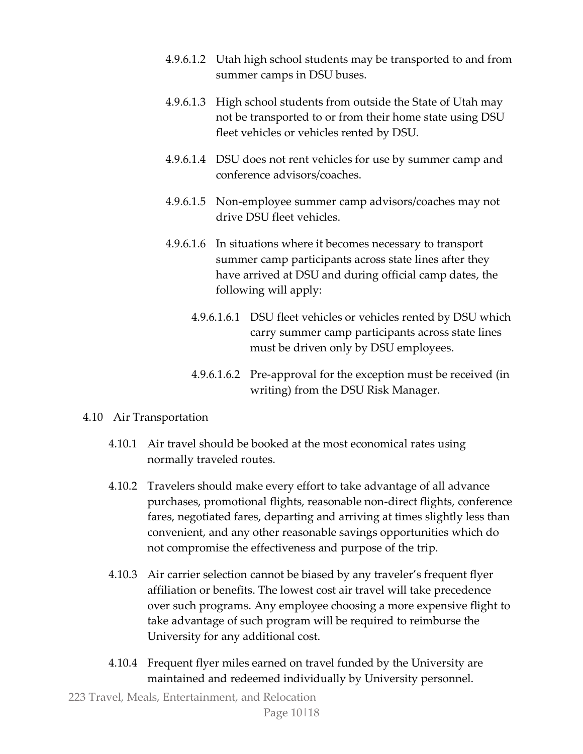- 4.9.6.1.2 Utah high school students may be transported to and from summer camps in DSU buses.
- 4.9.6.1.3 High school students from outside the State of Utah may not be transported to or from their home state using DSU fleet vehicles or vehicles rented by DSU.
- 4.9.6.1.4 DSU does not rent vehicles for use by summer camp and conference advisors/coaches.
- 4.9.6.1.5 Non-employee summer camp advisors/coaches may not drive DSU fleet vehicles.
- 4.9.6.1.6 In situations where it becomes necessary to transport summer camp participants across state lines after they have arrived at DSU and during official camp dates, the following will apply:
	- 4.9.6.1.6.1 DSU fleet vehicles or vehicles rented by DSU which carry summer camp participants across state lines must be driven only by DSU employees.
	- 4.9.6.1.6.2 Pre-approval for the exception must be received (in writing) from the DSU Risk Manager.

## 4.10 Air Transportation

- 4.10.1 Air travel should be booked at the most economical rates using normally traveled routes.
- 4.10.2 Travelers should make every effort to take advantage of all advance purchases, promotional flights, reasonable non-direct flights, conference fares, negotiated fares, departing and arriving at times slightly less than convenient, and any other reasonable savings opportunities which do not compromise the effectiveness and purpose of the trip.
- 4.10.3 Air carrier selection cannot be biased by any traveler's frequent flyer affiliation or benefits. The lowest cost air travel will take precedence over such programs. Any employee choosing a more expensive flight to take advantage of such program will be required to reimburse the University for any additional cost.
- 4.10.4 Frequent flyer miles earned on travel funded by the University are maintained and redeemed individually by University personnel.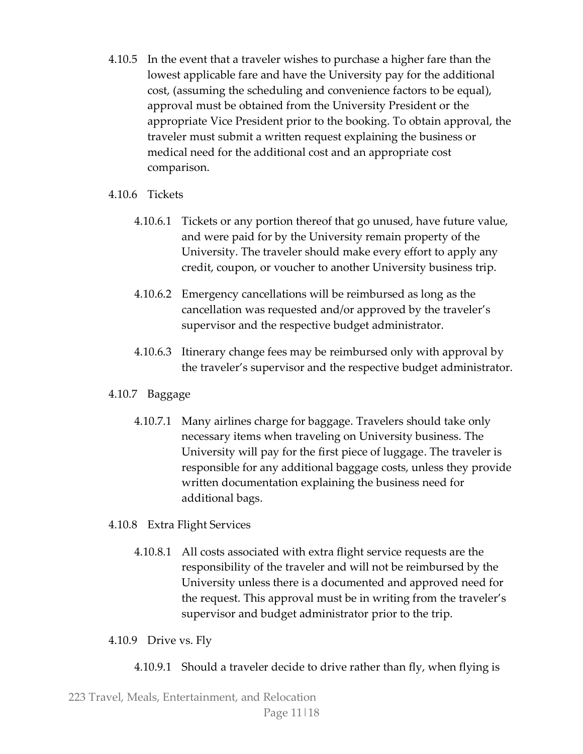- 4.10.5 In the event that a traveler wishes to purchase a higher fare than the lowest applicable fare and have the University pay for the additional cost, (assuming the scheduling and convenience factors to be equal), approval must be obtained from the University President or the appropriate Vice President prior to the booking. To obtain approval, the traveler must submit a written request explaining the business or medical need for the additional cost and an appropriate cost comparison.
- 4.10.6 Tickets
	- 4.10.6.1 Tickets or any portion thereof that go unused, have future value, and were paid for by the University remain property of the University. The traveler should make every effort to apply any credit, coupon, or voucher to another University business trip.
	- 4.10.6.2 Emergency cancellations will be reimbursed as long as the cancellation was requested and/or approved by the traveler's supervisor and the respective budget administrator.
	- 4.10.6.3 Itinerary change fees may be reimbursed only with approval by the traveler's supervisor and the respective budget administrator.

# 4.10.7 Baggage

- 4.10.7.1 Many airlines charge for baggage. Travelers should take only necessary items when traveling on University business. The University will pay for the first piece of luggage. The traveler is responsible for any additional baggage costs, unless they provide written documentation explaining the business need for additional bags.
- 4.10.8 Extra Flight Services
	- 4.10.8.1 All costs associated with extra flight service requests are the responsibility of the traveler and will not be reimbursed by the University unless there is a documented and approved need for the request. This approval must be in writing from the traveler's supervisor and budget administrator prior to the trip.

## 4.10.9 Drive vs. Fly

4.10.9.1 Should a traveler decide to drive rather than fly, when flying is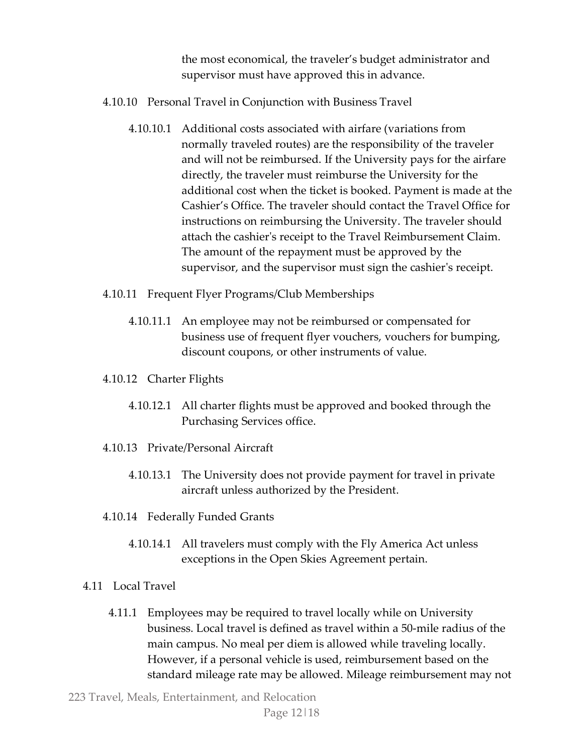the most economical, the traveler's budget administrator and supervisor must have approved this in advance.

- 4.10.10 Personal Travel in Conjunction with Business Travel
	- 4.10.10.1 Additional costs associated with airfare (variations from normally traveled routes) are the responsibility of the traveler and will not be reimbursed. If the University pays for the airfare directly, the traveler must reimburse the University for the additional cost when the ticket is booked. Payment is made at the Cashier's Office. The traveler should contact the Travel Office for instructions on reimbursing the University. The traveler should attach the cashier's receipt to the Travel Reimbursement Claim. The amount of the repayment must be approved by the supervisor, and the supervisor must sign the cashier's receipt.
- 4.10.11 Frequent Flyer Programs/Club Memberships
	- 4.10.11.1 An employee may not be reimbursed or compensated for business use of frequent flyer vouchers, vouchers for bumping, discount coupons, or other instruments of value.
- 4.10.12 Charter Flights
	- 4.10.12.1 All charter flights must be approved and booked through the Purchasing Services office.
- 4.10.13 Private/Personal Aircraft
	- 4.10.13.1 The University does not provide payment for travel in private aircraft unless authorized by the President.
- 4.10.14 Federally Funded Grants
	- 4.10.14.1 All travelers must comply with the Fly America Act unless exceptions in the Open Skies Agreement pertain.
- 4.11 Local Travel
	- 4.11.1 Employees may be required to travel locally while on University business. Local travel is defined as travel within a 50-mile radius of the main campus. No meal per diem is allowed while traveling locally. However, if a personal vehicle is used, reimbursement based on the standard mileage rate may be allowed. Mileage reimbursement may not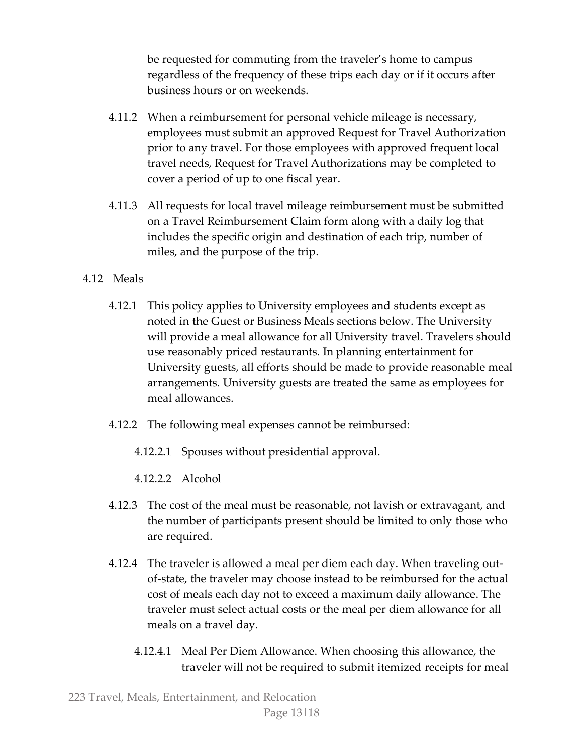be requested for commuting from the traveler's home to campus regardless of the frequency of these trips each day or if it occurs after business hours or on weekends.

- 4.11.2 When a reimbursement for personal vehicle mileage is necessary, employees must submit an approved Request for Travel Authorization prior to any travel. For those employees with approved frequent local travel needs, Request for Travel Authorizations may be completed to cover a period of up to one fiscal year.
- 4.11.3 All requests for local travel mileage reimbursement must be submitted on a Travel Reimbursement Claim form along with a daily log that includes the specific origin and destination of each trip, number of miles, and the purpose of the trip.
- 4.12 Meals
	- 4.12.1 This policy applies to University employees and students except as noted in the Guest or Business Meals sections below. The University will provide a meal allowance for all University travel. Travelers should use reasonably priced restaurants. In planning entertainment for University guests, all efforts should be made to provide reasonable meal arrangements. University guests are treated the same as employees for meal allowances.
	- 4.12.2 The following meal expenses cannot be reimbursed:
		- 4.12.2.1 Spouses without presidential approval.
		- 4.12.2.2 Alcohol
	- 4.12.3 The cost of the meal must be reasonable, not lavish or extravagant, and the number of participants present should be limited to only those who are required.
	- 4.12.4 The traveler is allowed a meal per diem each day. When traveling outof-state, the traveler may choose instead to be reimbursed for the actual cost of meals each day not to exceed a maximum daily allowance. The traveler must select actual costs or the meal per diem allowance for all meals on a travel day.
		- 4.12.4.1 Meal Per Diem Allowance. When choosing this allowance, the traveler will not be required to submit itemized receipts for meal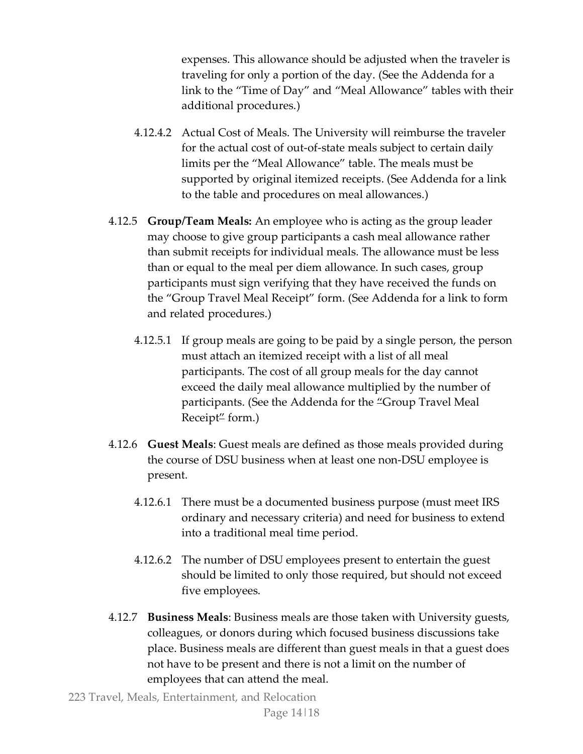expenses. This allowance should be adjusted when the traveler is traveling for only a portion of the day. (See the Addenda for a link to the "Time of Day" and "Meal Allowance" tables with their additional procedures.)

- 4.12.4.2 Actual Cost of Meals. The University will reimburse the traveler for the actual cost of out-of-state meals subject to certain daily limits per the "Meal Allowance" table. The meals must be supported by original itemized receipts. (See Addenda for a link to the table and procedures on meal allowances.)
- 4.12.5 **Group/Team Meals:** An employee who is acting as the group leader may choose to give group participants a cash meal allowance rather than submit receipts for individual meals. The allowance must be less than or equal to the meal per diem allowance. In such cases, group participants must sign verifying that they have received the funds on the "Group Travel Meal Receipt" form. (See Addenda for a link to form and related procedures.)
	- 4.12.5.1 If group meals are going to be paid by a single person, the person must attach an itemized receipt with a list of all meal participants. The cost of all group meals for the day cannot exceed the daily meal allowance multiplied by the number of participants. (See the Addenda for the "Group Travel Meal Receipt" form.)
- 4.12.6 **Guest Meals**: Guest meals are defined as those meals provided during the course of DSU business when at least one non-DSU employee is present.
	- 4.12.6.1 There must be a documented business purpose (must meet IRS ordinary and necessary criteria) and need for business to extend into a traditional meal time period.
	- 4.12.6.2 The number of DSU employees present to entertain the guest should be limited to only those required, but should not exceed five employees.
- 4.12.7 **Business Meals**: Business meals are those taken with University guests, colleagues, or donors during which focused business discussions take place. Business meals are different than guest meals in that a guest does not have to be present and there is not a limit on the number of employees that can attend the meal.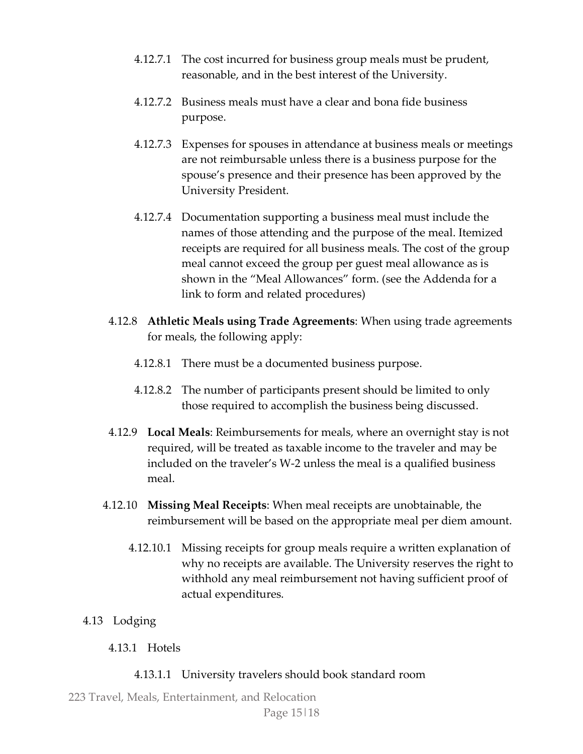- 4.12.7.1 The cost incurred for business group meals must be prudent, reasonable, and in the best interest of the University.
- 4.12.7.2 Business meals must have a clear and bona fide business purpose.
- 4.12.7.3 Expenses for spouses in attendance at business meals or meetings are not reimbursable unless there is a business purpose for the spouse's presence and their presence has been approved by the University President.
- 4.12.7.4 Documentation supporting a business meal must include the names of those attending and the purpose of the meal. Itemized receipts are required for all business meals. The cost of the group meal cannot exceed the group per guest meal allowance as is shown in the "Meal Allowances" form. (see the Addenda for a link to form and related procedures)
- 4.12.8 **Athletic Meals using Trade Agreements**: When using trade agreements for meals, the following apply:
	- 4.12.8.1 There must be a documented business purpose.
	- 4.12.8.2 The number of participants present should be limited to only those required to accomplish the business being discussed.
- 4.12.9 **Local Meals**: Reimbursements for meals, where an overnight stay is not required, will be treated as taxable income to the traveler and may be included on the traveler's W-2 unless the meal is a qualified business meal.
- 4.12.10 **Missing Meal Receipts**: When meal receipts are unobtainable, the reimbursement will be based on the appropriate meal per diem amount.
	- 4.12.10.1 Missing receipts for group meals require a written explanation of why no receipts are available. The University reserves the right to withhold any meal reimbursement not having sufficient proof of actual expenditures.
- 4.13 Lodging
	- 4.13.1 Hotels
		- 4.13.1.1 University travelers should book standard room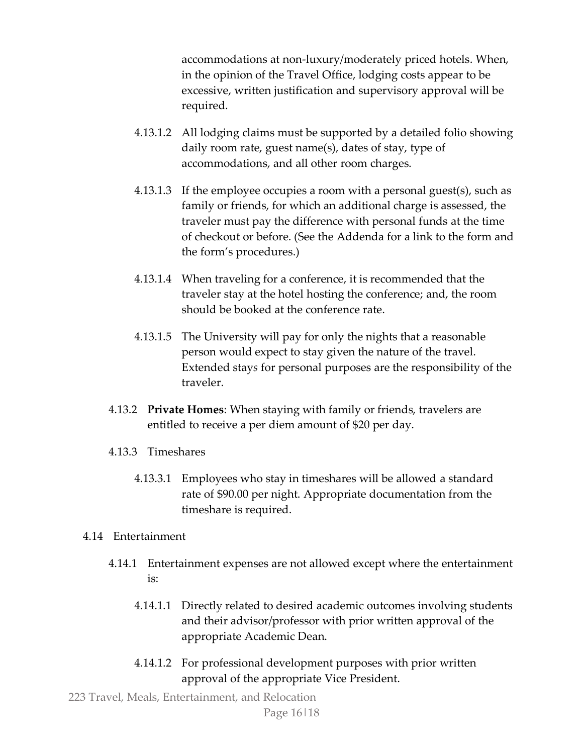accommodations at non-luxury/moderately priced hotels. When, in the opinion of the Travel Office, lodging costs appear to be excessive, written justification and supervisory approval will be required.

- 4.13.1.2 All lodging claims must be supported by a detailed folio showing daily room rate, guest name(s), dates of stay, type of accommodations, and all other room charges.
- 4.13.1.3 If the employee occupies a room with a personal guest(s), such as family or friends, for which an additional charge is assessed, the traveler must pay the difference with personal funds at the time of checkout or before. (See the Addenda for a link to the form and the form's procedures.)
- 4.13.1.4 When traveling for a conference, it is recommended that the traveler stay at the hotel hosting the conference; and, the room should be booked at the conference rate.
- 4.13.1.5 The University will pay for only the nights that a reasonable person would expect to stay given the nature of the travel. Extended stay*s* for personal purposes are the responsibility of the traveler.
- 4.13.2 **Private Homes**: When staying with family or friends, travelers are entitled to receive a per diem amount of \$20 per day.
- 4.13.3 Timeshares
	- 4.13.3.1 Employees who stay in timeshares will be allowed a standard rate of \$90.00 per night. Appropriate documentation from the timeshare is required.

## 4.14 Entertainment

- 4.14.1 Entertainment expenses are not allowed except where the entertainment is:
	- 4.14.1.1 Directly related to desired academic outcomes involving students and their advisor/professor with prior written approval of the appropriate Academic Dean.
	- 4.14.1.2 For professional development purposes with prior written approval of the appropriate Vice President.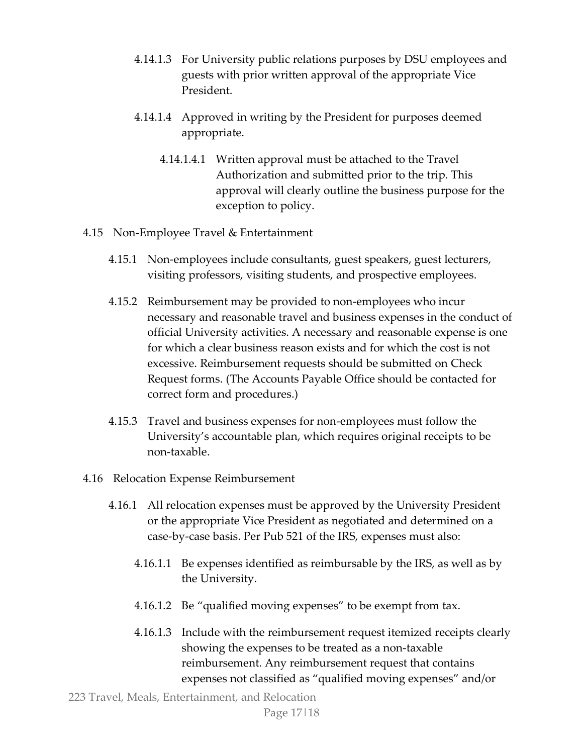- 4.14.1.3 For University public relations purposes by DSU employees and guests with prior written approval of the appropriate Vice President.
- 4.14.1.4 Approved in writing by the President for purposes deemed appropriate.
	- 4.14.1.4.1 Written approval must be attached to the Travel Authorization and submitted prior to the trip. This approval will clearly outline the business purpose for the exception to policy.
- 4.15 Non-Employee Travel & Entertainment
	- 4.15.1 Non-employees include consultants, guest speakers, guest lecturers, visiting professors, visiting students, and prospective employees.
	- 4.15.2 Reimbursement may be provided to non-employees who incur necessary and reasonable travel and business expenses in the conduct of official University activities. A necessary and reasonable expense is one for which a clear business reason exists and for which the cost is not excessive. Reimbursement requests should be submitted on Check Request forms. (The Accounts Payable Office should be contacted for correct form and procedures.)
	- 4.15.3 Travel and business expenses for non-employees must follow the University's accountable plan, which requires original receipts to be non-taxable.
- 4.16 Relocation Expense Reimbursement
	- 4.16.1 All relocation expenses must be approved by the University President or the appropriate Vice President as negotiated and determined on a case-by-case basis. Per Pub 521 of the IRS, expenses must also:
		- 4.16.1.1 Be expenses identified as reimbursable by the IRS, as well as by the University.
		- 4.16.1.2 Be "qualified moving expenses" to be exempt from tax.
		- 4.16.1.3 Include with the reimbursement request itemized receipts clearly showing the expenses to be treated as a non-taxable reimbursement. Any reimbursement request that contains expenses not classified as "qualified moving expenses" and/or